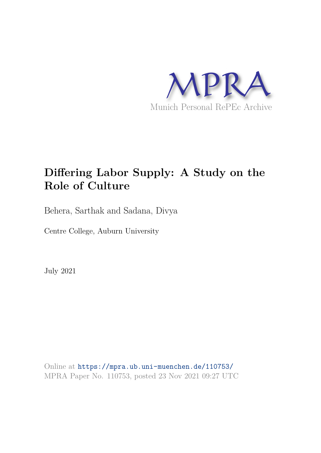

# **Differing Labor Supply: A Study on the Role of Culture**

Behera, Sarthak and Sadana, Divya

Centre College, Auburn University

July 2021

Online at https://mpra.ub.uni-muenchen.de/110753/ MPRA Paper No. 110753, posted 23 Nov 2021 09:27 UTC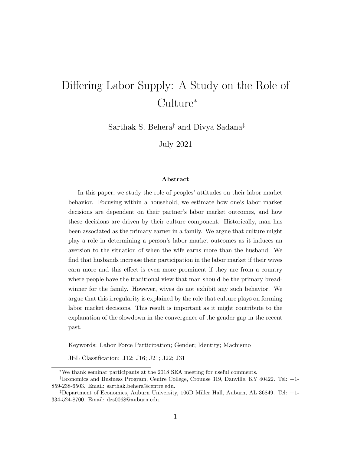# Differing Labor Supply: A Study on the Role of Culture<sup>∗</sup>

Sarthak S. Behera† and Divya Sadana‡

July 2021

#### Abstract

In this paper, we study the role of peoples' attitudes on their labor market behavior. Focusing within a household, we estimate how one's labor market decisions are dependent on their partner's labor market outcomes, and how these decisions are driven by their culture component. Historically, man has been associated as the primary earner in a family. We argue that culture might play a role in determining a person's labor market outcomes as it induces an aversion to the situation of when the wife earns more than the husband. We find that husbands increase their participation in the labor market if their wives earn more and this effect is even more prominent if they are from a country where people have the traditional view that man should be the primary breadwinner for the family. However, wives do not exhibit any such behavior. We argue that this irregularity is explained by the role that culture plays on forming labor market decisions. This result is important as it might contribute to the explanation of the slowdown in the convergence of the gender gap in the recent past.

Keywords: Labor Force Participation; Gender; Identity; Machismo

JEL Classification: J12; J16; J21; J22; J31

<sup>∗</sup>We thank seminar participants at the 2018 SEA meeting for useful comments.

<sup>†</sup>Economics and Business Program, Centre College, Crounse 319, Danville, KY 40422. Tel: +1- 859-238-6503. Email: sarthak.behera@centre.edu.

<sup>‡</sup>Department of Economics, Auburn University, 106D Miller Hall, Auburn, AL 36849. Tel: +1- 334-524-8700. Email: dzs0068@auburn.edu.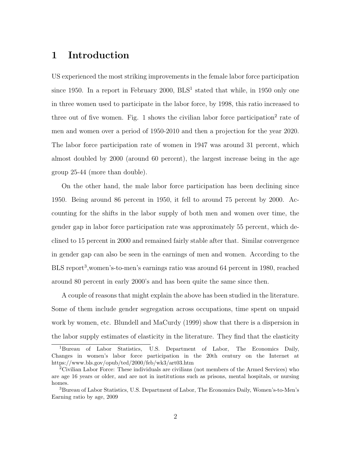# 1 Introduction

US experienced the most striking improvements in the female labor force participation since 1950. In a report in February 2000,  $BLS<sup>1</sup>$  stated that while, in 1950 only one in three women used to participate in the labor force, by 1998, this ratio increased to three out of five women. Fig. 1 shows the civilian labor force participation<sup>2</sup> rate of men and women over a period of 1950-2010 and then a projection for the year 2020. The labor force participation rate of women in 1947 was around 31 percent, which almost doubled by 2000 (around 60 percent), the largest increase being in the age group 25-44 (more than double).

On the other hand, the male labor force participation has been declining since 1950. Being around 86 percent in 1950, it fell to around 75 percent by 2000. Accounting for the shifts in the labor supply of both men and women over time, the gender gap in labor force participation rate was approximately 55 percent, which declined to 15 percent in 2000 and remained fairly stable after that. Similar convergence in gender gap can also be seen in the earnings of men and women. According to the BLS report<sup>3</sup>, women's-to-men's earnings ratio was around 64 percent in 1980, reached around 80 percent in early 2000's and has been quite the same since then.

A couple of reasons that might explain the above has been studied in the literature. Some of them include gender segregation across occupations, time spent on unpaid work by women, etc. Blundell and MaCurdy (1999) show that there is a dispersion in the labor supply estimates of elasticity in the literature. They find that the elasticity

<sup>1</sup>Bureau of Labor Statistics, U.S. Department of Labor, The Economics Daily, Changes in women's labor force participation in the 20th century on the Internet at https://www.bls.gov/opub/ted/2000/feb/wk3/art03.htm

<sup>2</sup>Civilian Labor Force: These individuals are civilians (not members of the Armed Services) who are age 16 years or older, and are not in institutions such as prisons, mental hospitals, or nursing homes.

<sup>3</sup>Bureau of Labor Statistics, U.S. Department of Labor, The Economics Daily, Women's-to-Men's Earning ratio by age, 2009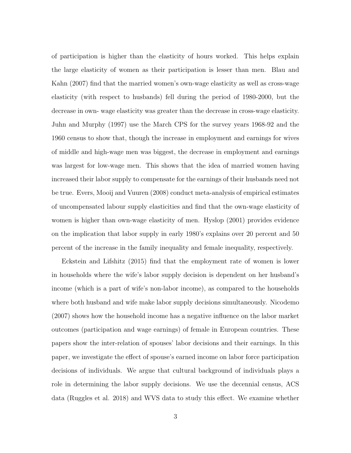of participation is higher than the elasticity of hours worked. This helps explain the large elasticity of women as their participation is lesser than men. Blau and Kahn (2007) find that the married women's own-wage elasticity as well as cross-wage elasticity (with respect to husbands) fell during the period of 1980-2000, but the decrease in own- wage elasticity was greater than the decrease in cross-wage elasticity. Juhn and Murphy (1997) use the March CPS for the survey years 1968-92 and the 1960 census to show that, though the increase in employment and earnings for wives of middle and high-wage men was biggest, the decrease in employment and earnings was largest for low-wage men. This shows that the idea of married women having increased their labor supply to compensate for the earnings of their husbands need not be true. Evers, Mooij and Vuuren (2008) conduct meta-analysis of empirical estimates of uncompensated labour supply elasticities and find that the own-wage elasticity of women is higher than own-wage elasticity of men. Hyslop (2001) provides evidence on the implication that labor supply in early 1980's explains over 20 percent and 50 percent of the increase in the family inequality and female inequality, respectively.

Eckstein and Lifshitz (2015) find that the employment rate of women is lower in households where the wife's labor supply decision is dependent on her husband's income (which is a part of wife's non-labor income), as compared to the households where both husband and wife make labor supply decisions simultaneously. Nicodemo (2007) shows how the household income has a negative influence on the labor market outcomes (participation and wage earnings) of female in European countries. These papers show the inter-relation of spouses' labor decisions and their earnings. In this paper, we investigate the effect of spouse's earned income on labor force participation decisions of individuals. We argue that cultural background of individuals plays a role in determining the labor supply decisions. We use the decennial census, ACS data (Ruggles et al. 2018) and WVS data to study this effect. We examine whether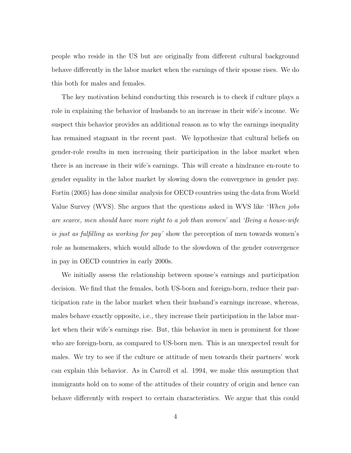people who reside in the US but are originally from different cultural background behave differently in the labor market when the earnings of their spouse rises. We do this both for males and females.

The key motivation behind conducting this research is to check if culture plays a role in explaining the behavior of husbands to an increase in their wife's income. We suspect this behavior provides an additional reason as to why the earnings inequality has remained stagnant in the recent past. We hypothesize that cultural beliefs on gender-role results in men increasing their participation in the labor market when there is an increase in their wife's earnings. This will create a hindrance en-route to gender equality in the labor market by slowing down the convergence in gender pay. Fortin (2005) has done similar analysis for OECD countries using the data from World Value Survey (WVS). She argues that the questions asked in WVS like 'When jobs are scarce, men should have more right to a job than women' and 'Being a house-wife is just as fulfilling as working for pay' show the perception of men towards women's role as homemakers, which would allude to the slowdown of the gender convergence in pay in OECD countries in early 2000s.

We initially assess the relationship between spouse's earnings and participation decision. We find that the females, both US-born and foreign-born, reduce their participation rate in the labor market when their husband's earnings increase, whereas, males behave exactly opposite, i.e., they increase their participation in the labor market when their wife's earnings rise. But, this behavior in men is prominent for those who are foreign-born, as compared to US-born men. This is an unexpected result for males. We try to see if the culture or attitude of men towards their partners' work can explain this behavior. As in Carroll et al. 1994, we make this assumption that immigrants hold on to some of the attitudes of their country of origin and hence can behave differently with respect to certain characteristics. We argue that this could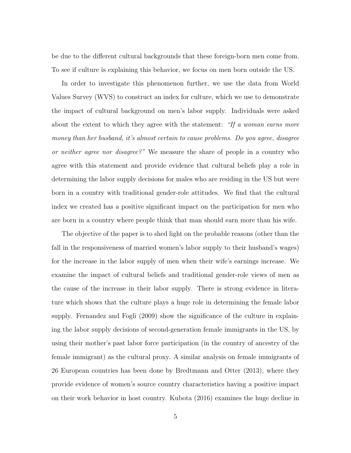be due to the different cultural backgrounds that these foreign-born men come from. To see if culture is explaining this behavior, we focus on men born outside the US.

In order to investigate this phenomenon further, we use the data from World Values Survey (WVS) to construct an index for culture, which we use to demonstrate the impact of cultural background on men's labor supply. Individuals were asked about the extent to which they agree with the statement: "If a woman earns more money than her husband, it's almost certain to cause problems. Do you agree, disagree or neither agree nor disagree?" We measure the share of people in a country who agree with this statement and provide evidence that cultural beliefs play a role in determining the labor supply decisions for males who are residing in the US but were born in a country with traditional gender-role attitudes. We find that the cultural index we created has a positive significant impact on the participation for men who are born in a country where people think that man should earn more than his wife.

The objective of the paper is to shed light on the probable reasons (other than the fall in the responsiveness of married women's labor supply to their husband's wages) for the increase in the labor supply of men when their wife's earnings increase. We examine the impact of cultural beliefs and traditional gender-role views of men as the cause of the increase in their labor supply. There is strong evidence in literature which shows that the culture plays a huge role in determining the female labor supply. Fernandez and Fogli (2009) show the significance of the culture in explaining the labor supply decisions of second-generation female immigrants in the US, by using their mother's past labor force participation (in the country of ancestry of the female immigrant) as the cultural proxy. A similar analysis on female immigrants of 26 European countries has been done by Bredtmann and Otter (2013), where they provide evidence of women's source country characteristics having a positive impact on their work behavior in host country. Kubota (2016) examines the huge decline in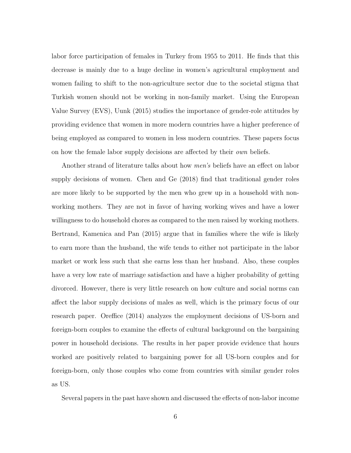labor force participation of females in Turkey from 1955 to 2011. He finds that this decrease is mainly due to a huge decline in women's agricultural employment and women failing to shift to the non-agriculture sector due to the societal stigma that Turkish women should not be working in non-family market. Using the European Value Survey (EVS), Uunk (2015) studies the importance of gender-role attitudes by providing evidence that women in more modern countries have a higher preference of being employed as compared to women in less modern countries. These papers focus on how the female labor supply decisions are affected by their *own* beliefs.

Another strand of literature talks about how men's beliefs have an effect on labor supply decisions of women. Chen and Ge (2018) find that traditional gender roles are more likely to be supported by the men who grew up in a household with nonworking mothers. They are not in favor of having working wives and have a lower willingness to do household chores as compared to the men raised by working mothers. Bertrand, Kamenica and Pan (2015) argue that in families where the wife is likely to earn more than the husband, the wife tends to either not participate in the labor market or work less such that she earns less than her husband. Also, these couples have a very low rate of marriage satisfaction and have a higher probability of getting divorced. However, there is very little research on how culture and social norms can affect the labor supply decisions of males as well, which is the primary focus of our research paper. Oreffice (2014) analyzes the employment decisions of US-born and foreign-born couples to examine the effects of cultural background on the bargaining power in household decisions. The results in her paper provide evidence that hours worked are positively related to bargaining power for all US-born couples and for foreign-born, only those couples who come from countries with similar gender roles as US.

Several papers in the past have shown and discussed the effects of non-labor income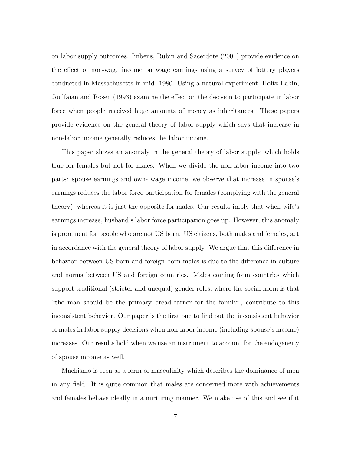on labor supply outcomes. Imbens, Rubin and Sacerdote (2001) provide evidence on the effect of non-wage income on wage earnings using a survey of lottery players conducted in Massachusetts in mid- 1980. Using a natural experiment, Holtz-Eakin, Joulfaian and Rosen (1993) examine the effect on the decision to participate in labor force when people received huge amounts of money as inheritances. These papers provide evidence on the general theory of labor supply which says that increase in non-labor income generally reduces the labor income.

This paper shows an anomaly in the general theory of labor supply, which holds true for females but not for males. When we divide the non-labor income into two parts: spouse earnings and own- wage income, we observe that increase in spouse's earnings reduces the labor force participation for females (complying with the general theory), whereas it is just the opposite for males. Our results imply that when wife's earnings increase, husband's labor force participation goes up. However, this anomaly is prominent for people who are not US born. US citizens, both males and females, act in accordance with the general theory of labor supply. We argue that this difference in behavior between US-born and foreign-born males is due to the difference in culture and norms between US and foreign countries. Males coming from countries which support traditional (stricter and unequal) gender roles, where the social norm is that "the man should be the primary bread-earner for the family", contribute to this inconsistent behavior. Our paper is the first one to find out the inconsistent behavior of males in labor supply decisions when non-labor income (including spouse's income) increases. Our results hold when we use an instrument to account for the endogeneity of spouse income as well.

Machismo is seen as a form of masculinity which describes the dominance of men in any field. It is quite common that males are concerned more with achievements and females behave ideally in a nurturing manner. We make use of this and see if it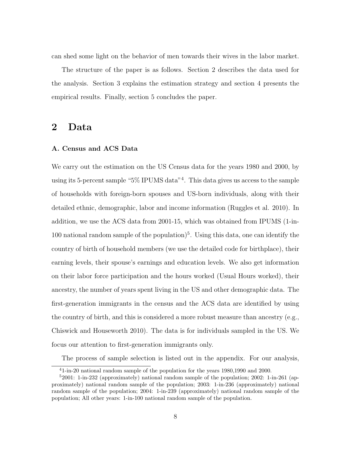can shed some light on the behavior of men towards their wives in the labor market.

The structure of the paper is as follows. Section 2 describes the data used for the analysis. Section 3 explains the estimation strategy and section 4 presents the empirical results. Finally, section 5 concludes the paper.

## 2 Data

#### A. Census and ACS Data

We carry out the estimation on the US Census data for the years 1980 and 2000, by using its 5-percent sample "5% IPUMS data"<sup>4</sup> . This data gives us access to the sample of households with foreign-born spouses and US-born individuals, along with their detailed ethnic, demographic, labor and income information (Ruggles et al. 2010). In addition, we use the ACS data from 2001-15, which was obtained from IPUMS (1-in-100 national random sample of the population<sup> $5$ </sup>. Using this data, one can identify the country of birth of household members (we use the detailed code for birthplace), their earning levels, their spouse's earnings and education levels. We also get information on their labor force participation and the hours worked (Usual Hours worked), their ancestry, the number of years spent living in the US and other demographic data. The first-generation immigrants in the census and the ACS data are identified by using the country of birth, and this is considered a more robust measure than ancestry (e.g., Chiswick and Houseworth 2010). The data is for individuals sampled in the US. We focus our attention to first-generation immigrants only.

The process of sample selection is listed out in the appendix. For our analysis,

<sup>4</sup>1-in-20 national random sample of the population for the years 1980,1990 and 2000.

<sup>5</sup>2001: 1-in-232 (approximately) national random sample of the population; 2002: 1-in-261 (approximately) national random sample of the population; 2003: 1-in-236 (approximately) national random sample of the population; 2004: 1-in-239 (approximately) national random sample of the population; All other years: 1-in-100 national random sample of the population.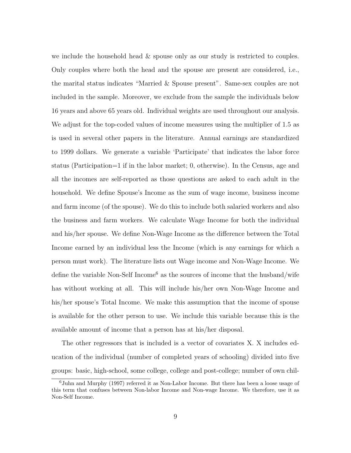we include the household head & spouse only as our study is restricted to couples. Only couples where both the head and the spouse are present are considered, i.e., the marital status indicates "Married & Spouse present". Same-sex couples are not included in the sample. Moreover, we exclude from the sample the individuals below 16 years and above 65 years old. Individual weights are used throughout our analysis. We adjust for the top-coded values of income measures using the multiplier of 1.5 as is used in several other papers in the literature. Annual earnings are standardized to 1999 dollars. We generate a variable 'Participate' that indicates the labor force status (Participation=1 if in the labor market; 0, otherwise). In the Census, age and all the incomes are self-reported as those questions are asked to each adult in the household. We define Spouse's Income as the sum of wage income, business income and farm income (of the spouse). We do this to include both salaried workers and also the business and farm workers. We calculate Wage Income for both the individual and his/her spouse. We define Non-Wage Income as the difference between the Total Income earned by an individual less the Income (which is any earnings for which a person must work). The literature lists out Wage income and Non-Wage Income. We define the variable Non-Self Income<sup>6</sup> as the sources of income that the husband/wife has without working at all. This will include his/her own Non-Wage Income and his/her spouse's Total Income. We make this assumption that the income of spouse is available for the other person to use. We include this variable because this is the available amount of income that a person has at his/her disposal.

The other regressors that is included is a vector of covariates X. X includes education of the individual (number of completed years of schooling) divided into five groups: basic, high-school, some college, college and post-college; number of own chil-

<sup>6</sup>Juhn and Murphy (1997) referred it as Non-Labor Income. But there has been a loose usage of this term that confuses between Non-labor Income and Non-wage Income. We therefore, use it as Non-Self Income.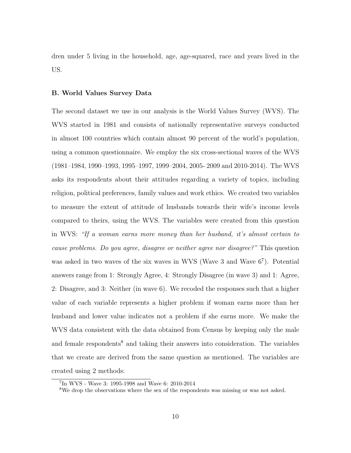dren under 5 living in the household, age, age-squared, race and years lived in the US.

#### B. World Values Survey Data

The second dataset we use in our analysis is the World Values Survey (WVS). The WVS started in 1981 and consists of nationally representative surveys conducted in almost 100 countries which contain almost 90 percent of the world's population, using a common questionnaire. We employ the six cross-sectional waves of the WVS (1981–1984, 1990–1993, 1995–1997, 1999–2004, 2005- 2009 and 2010-2014). The WVS asks its respondents about their attitudes regarding a variety of topics, including religion, political preferences, family values and work ethics. We created two variables to measure the extent of attitude of husbands towards their wife's income levels compared to theirs, using the WVS. The variables were created from this question in WVS: "If a woman earns more money than her husband, it's almost certain to cause problems. Do you agree, disagree or neither agree nor disagree?" This question was asked in two waves of the six waves in WVS (Wave 3 and Wave  $6<sup>7</sup>$ ). Potential answers range from 1: Strongly Agree, 4: Strongly Disagree (in wave 3) and 1: Agree, 2: Disagree, and 3: Neither (in wave 6). We recoded the responses such that a higher value of each variable represents a higher problem if woman earns more than her husband and lower value indicates not a problem if she earns more. We make the WVS data consistent with the data obtained from Census by keeping only the male and female respondents<sup>8</sup> and taking their answers into consideration. The variables that we create are derived from the same question as mentioned. The variables are created using 2 methods:

<sup>7</sup> In WVS - Wave 3: 1995-1998 and Wave 6: 2010-2014

<sup>8</sup>We drop the observations where the sex of the respondents was missing or was not asked.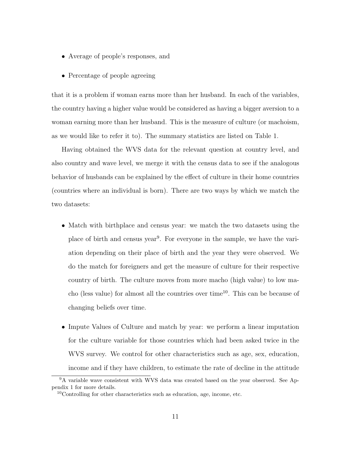- Average of people's responses, and
- Percentage of people agreeing

that it is a problem if woman earns more than her husband. In each of the variables, the country having a higher value would be considered as having a bigger aversion to a woman earning more than her husband. This is the measure of culture (or machoism, as we would like to refer it to). The summary statistics are listed on Table 1.

Having obtained the WVS data for the relevant question at country level, and also country and wave level, we merge it with the census data to see if the analogous behavior of husbands can be explained by the effect of culture in their home countries (countries where an individual is born). There are two ways by which we match the two datasets:

- Match with birthplace and census year: we match the two datasets using the place of birth and census year<sup>9</sup>. For everyone in the sample, we have the variation depending on their place of birth and the year they were observed. We do the match for foreigners and get the measure of culture for their respective country of birth. The culture moves from more macho (high value) to low macho (less value) for almost all the countries over time<sup>10</sup>. This can be because of changing beliefs over time.
- Impute Values of Culture and match by year: we perform a linear imputation for the culture variable for those countries which had been asked twice in the WVS survey. We control for other characteristics such as age, sex, education, income and if they have children, to estimate the rate of decline in the attitude

<sup>9</sup>A variable wave consistent with WVS data was created based on the year observed. See Appendix 1 for more details.

 $10$ Controlling for other characteristics such as education, age, income, etc.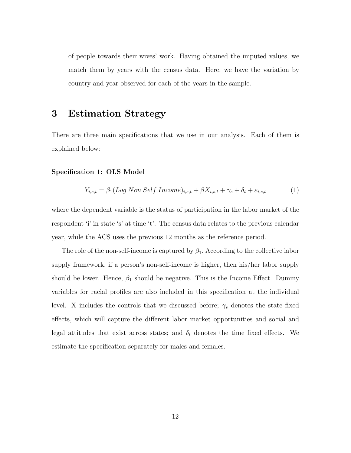of people towards their wives' work. Having obtained the imputed values, we match them by years with the census data. Here, we have the variation by country and year observed for each of the years in the sample.

## 3 Estimation Strategy

There are three main specifications that we use in our analysis. Each of them is explained below:

#### Specification 1: OLS Model

$$
Y_{i,s,t} = \beta_1 (Log\ Non\ Self\ Income)_{i,s,t} + \beta X_{i,s,t} + \gamma_s + \delta_t + \varepsilon_{i,s,t} \tag{1}
$$

where the dependent variable is the status of participation in the labor market of the respondent 'i' in state 's' at time 't'. The census data relates to the previous calendar year, while the ACS uses the previous 12 months as the reference period.

The role of the non-self-income is captured by  $\beta_1$ . According to the collective labor supply framework, if a person's non-self-income is higher, then his/her labor supply should be lower. Hence,  $\beta_1$  should be negative. This is the Income Effect. Dummy variables for racial profiles are also included in this specification at the individual level. X includes the controls that we discussed before;  $\gamma_s$  denotes the state fixed effects, which will capture the different labor market opportunities and social and legal attitudes that exist across states; and  $\delta_t$  denotes the time fixed effects. We estimate the specification separately for males and females.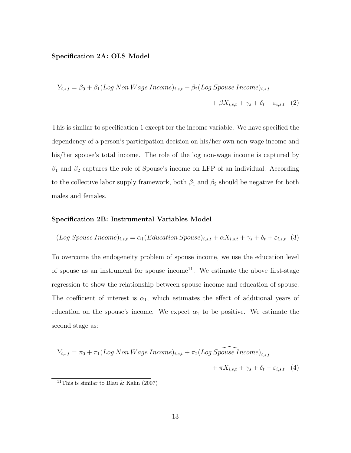#### Specification 2A: OLS Model

$$
Y_{i,s,t} = \beta_0 + \beta_1 (Log\ Non\ Wage\ Income)_{i,s,t} + \beta_2 (Log\ Spouse\ Income)_{i,s,t} + \beta X_{i,s,t} + \gamma_s + \delta_t + \varepsilon_{i,s,t} \quad (2)
$$

This is similar to specification 1 except for the income variable. We have specified the dependency of a person's participation decision on his/her own non-wage income and his/her spouse's total income. The role of the log non-wage income is captured by  $\beta_1$  and  $\beta_2$  captures the role of Spouse's income on LFP of an individual. According to the collective labor supply framework, both  $\beta_1$  and  $\beta_2$  should be negative for both males and females.

#### Specification 2B: Instrumental Variables Model

$$
(Log Spouse Income)_{i,s,t} = \alpha_1 (Education Spouse)_{i,s,t} + \alpha X_{i,s,t} + \gamma_s + \delta_t + \varepsilon_{i,s,t} \quad (3)
$$

To overcome the endogeneity problem of spouse income, we use the education level of spouse as an instrument for spouse income<sup>11</sup>. We estimate the above first-stage regression to show the relationship between spouse income and education of spouse. The coefficient of interest is  $\alpha_1$ , which estimates the effect of additional years of education on the spouse's income. We expect  $\alpha_1$  to be positive. We estimate the second stage as:

$$
Y_{i,s,t} = \pi_0 + \pi_1 (Log\ Non\ Wage\ Income)_{i,s,t} + \pi_2 (Log\ S\widehat{pouse\ Income})_{i,s,t} + \pi X_{i,s,t} + \gamma_s + \delta_t + \varepsilon_{i,s,t} \quad (4)
$$

<sup>&</sup>lt;sup>11</sup>This is similar to Blau & Kahn (2007)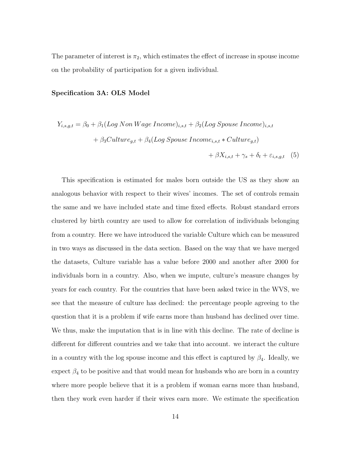The parameter of interest is  $\pi_2$ , which estimates the effect of increase in spouse income on the probability of participation for a given individual.

#### Specification 3A: OLS Model

$$
Y_{i,s,g,t} = \beta_0 + \beta_1 (Log\ Non\ Wage\ Income)_{i,s,t} + \beta_2 (Log\ Spouse\ Income)_{i,s,t}
$$

$$
+ \beta_3 Culture_{g,t} + \beta_4 (Log\ Spouse\ Income_{i,s,t} * Culture_{g,t})
$$

$$
+ \beta X_{i,s,t} + \gamma_s + \delta_t + \varepsilon_{i,s,g,t} \quad (5)
$$

This specification is estimated for males born outside the US as they show an analogous behavior with respect to their wives' incomes. The set of controls remain the same and we have included state and time fixed effects. Robust standard errors clustered by birth country are used to allow for correlation of individuals belonging from a country. Here we have introduced the variable Culture which can be measured in two ways as discussed in the data section. Based on the way that we have merged the datasets, Culture variable has a value before 2000 and another after 2000 for individuals born in a country. Also, when we impute, culture's measure changes by years for each country. For the countries that have been asked twice in the WVS, we see that the measure of culture has declined: the percentage people agreeing to the question that it is a problem if wife earns more than husband has declined over time. We thus, make the imputation that is in line with this decline. The rate of decline is different for different countries and we take that into account. we interact the culture in a country with the log spouse income and this effect is captured by  $\beta_4$ . Ideally, we expect  $\beta_4$  to be positive and that would mean for husbands who are born in a country where more people believe that it is a problem if woman earns more than husband, then they work even harder if their wives earn more. We estimate the specification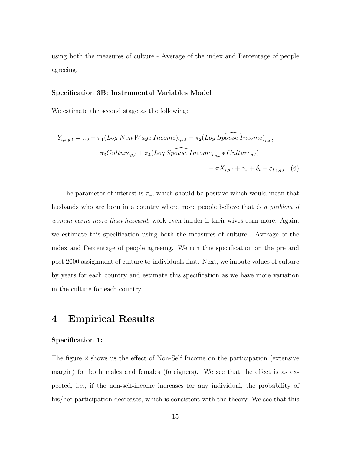using both the measures of culture - Average of the index and Percentage of people agreeing.

#### Specification 3B: Instrumental Variables Model

We estimate the second stage as the following:

$$
Y_{i,s,g,t} = \pi_0 + \pi_1 (Log\ Non\ Wage\ Income)_{i,s,t} + \pi_2 (Log\ Spouse\ Income)_{i,s,t}
$$

$$
+ \pi_3 Culture_{g,t} + \pi_4 (Log\ Spouse\ Income_{i,s,t} * Culture_{g,t})
$$

$$
+ \pi X_{i,s,t} + \gamma_s + \delta_t + \varepsilon_{i,s,g,t} \quad (6)
$$

The parameter of interest is  $\pi_4$ , which should be positive which would mean that husbands who are born in a country where more people believe that is a problem if woman earns more than husband, work even harder if their wives earn more. Again, we estimate this specification using both the measures of culture - Average of the index and Percentage of people agreeing. We run this specification on the pre and post 2000 assignment of culture to individuals first. Next, we impute values of culture by years for each country and estimate this specification as we have more variation in the culture for each country.

### 4 Empirical Results

#### Specification 1:

The figure 2 shows us the effect of Non-Self Income on the participation (extensive margin) for both males and females (foreigners). We see that the effect is as expected, i.e., if the non-self-income increases for any individual, the probability of his/her participation decreases, which is consistent with the theory. We see that this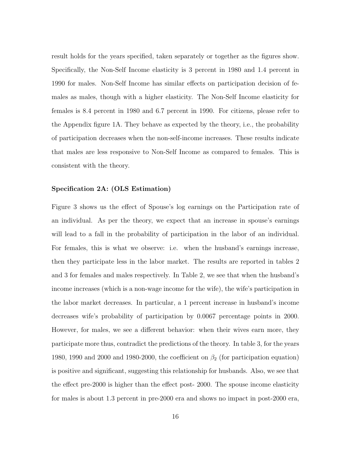result holds for the years specified, taken separately or together as the figures show. Specifically, the Non-Self Income elasticity is 3 percent in 1980 and 1.4 percent in 1990 for males. Non-Self Income has similar effects on participation decision of females as males, though with a higher elasticity. The Non-Self Income elasticity for females is 8.4 percent in 1980 and 6.7 percent in 1990. For citizens, please refer to the Appendix figure 1A. They behave as expected by the theory, i.e., the probability of participation decreases when the non-self-income increases. These results indicate that males are less responsive to Non-Self Income as compared to females. This is consistent with the theory.

#### Specification 2A: (OLS Estimation)

Figure 3 shows us the effect of Spouse's log earnings on the Participation rate of an individual. As per the theory, we expect that an increase in spouse's earnings will lead to a fall in the probability of participation in the labor of an individual. For females, this is what we observe: i.e. when the husband's earnings increase, then they participate less in the labor market. The results are reported in tables 2 and 3 for females and males respectively. In Table 2, we see that when the husband's income increases (which is a non-wage income for the wife), the wife's participation in the labor market decreases. In particular, a 1 percent increase in husband's income decreases wife's probability of participation by 0.0067 percentage points in 2000. However, for males, we see a different behavior: when their wives earn more, they participate more thus, contradict the predictions of the theory. In table 3, for the years 1980, 1990 and 2000 and 1980-2000, the coefficient on  $\beta_2$  (for participation equation) is positive and significant, suggesting this relationship for husbands. Also, we see that the effect pre-2000 is higher than the effect post- 2000. The spouse income elasticity for males is about 1.3 percent in pre-2000 era and shows no impact in post-2000 era,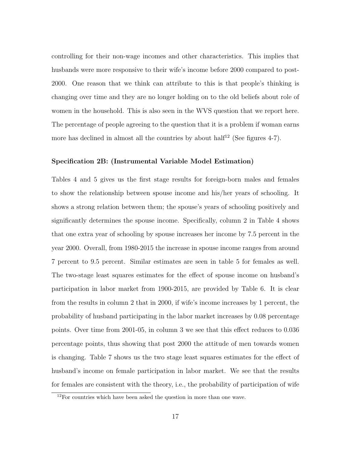controlling for their non-wage incomes and other characteristics. This implies that husbands were more responsive to their wife's income before 2000 compared to post-2000. One reason that we think can attribute to this is that people's thinking is changing over time and they are no longer holding on to the old beliefs about role of women in the household. This is also seen in the WVS question that we report here. The percentage of people agreeing to the question that it is a problem if woman earns more has declined in almost all the countries by about half<sup>12</sup> (See figures 4-7).

#### Specification 2B: (Instrumental Variable Model Estimation)

Tables 4 and 5 gives us the first stage results for foreign-born males and females to show the relationship between spouse income and his/her years of schooling. It shows a strong relation between them; the spouse's years of schooling positively and significantly determines the spouse income. Specifically, column 2 in Table 4 shows that one extra year of schooling by spouse increases her income by 7.5 percent in the year 2000. Overall, from 1980-2015 the increase in spouse income ranges from around 7 percent to 9.5 percent. Similar estimates are seen in table 5 for females as well. The two-stage least squares estimates for the effect of spouse income on husband's participation in labor market from 1900-2015, are provided by Table 6. It is clear from the results in column 2 that in 2000, if wife's income increases by 1 percent, the probability of husband participating in the labor market increases by 0.08 percentage points. Over time from 2001-05, in column 3 we see that this effect reduces to 0.036 percentage points, thus showing that post 2000 the attitude of men towards women is changing. Table 7 shows us the two stage least squares estimates for the effect of husband's income on female participation in labor market. We see that the results for females are consistent with the theory, i.e., the probability of participation of wife

<sup>&</sup>lt;sup>12</sup>For countries which have been asked the question in more than one wave.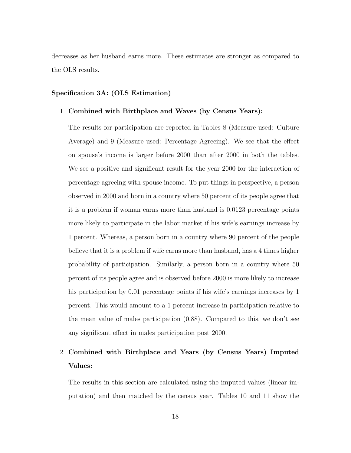decreases as her husband earns more. These estimates are stronger as compared to the OLS results.

#### Specification 3A: (OLS Estimation)

#### 1. Combined with Birthplace and Waves (by Census Years):

The results for participation are reported in Tables 8 (Measure used: Culture Average) and 9 (Measure used: Percentage Agreeing). We see that the effect on spouse's income is larger before 2000 than after 2000 in both the tables. We see a positive and significant result for the year 2000 for the interaction of percentage agreeing with spouse income. To put things in perspective, a person observed in 2000 and born in a country where 50 percent of its people agree that it is a problem if woman earns more than husband is 0.0123 percentage points more likely to participate in the labor market if his wife's earnings increase by 1 percent. Whereas, a person born in a country where 90 percent of the people believe that it is a problem if wife earns more than husband, has a 4 times higher probability of participation. Similarly, a person born in a country where 50 percent of its people agree and is observed before 2000 is more likely to increase his participation by 0.01 percentage points if his wife's earnings increases by 1 percent. This would amount to a 1 percent increase in participation relative to the mean value of males participation (0.88). Compared to this, we don't see any significant effect in males participation post 2000.

# 2. Combined with Birthplace and Years (by Census Years) Imputed Values:

The results in this section are calculated using the imputed values (linear imputation) and then matched by the census year. Tables 10 and 11 show the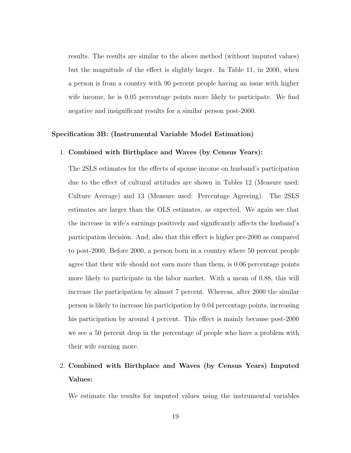results. The results are similar to the above method (without imputed values) but the magnitude of the effect is slightly larger. In Table 11, in 2000, when a person is from a country with 90 percent people having an issue with higher wife income, he is 0.05 percentage points more likely to participate. We find negative and insignificant results for a similar person post-2000.

#### Specification 3B: (Instrumental Variable Model Estimation)

#### 1. Combined with Birthplace and Waves (by Census Years):

The 2SLS estimates for the effects of spouse income on husband's participation due to the effect of cultural attitudes are shown in Tables 12 (Measure used: Culture Average) and 13 (Measure used: Percentage Agreeing). The 2SLS estimates are larger than the OLS estimates, as expected. We again see that the increase in wife's earnings positively and significantly affects the husband's participation decision. And, also that this effect is higher pre-2000 as compared to post-2000. Before 2000, a person born in a country where 50 percent people agree that their wife should not earn more than them, is 0.06 percentage points more likely to participate in the labor market. With a mean of 0.88, this will increase the participation by almost 7 percent. Whereas, after 2000 the similar person is likely to increase his participation by 0.04 percentage points, increasing his participation by around 4 percent. This effect is mainly because post-2000 we see a 50 percent drop in the percentage of people who have a problem with their wife earning more.

# 2. Combined with Birthplace and Waves (by Census Years) Imputed Values:

We estimate the results for imputed values using the instrumental variables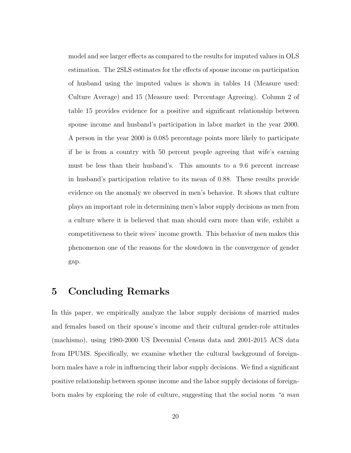model and see larger effects as compared to the results for imputed values in OLS estimation. The 2SLS estimates for the effects of spouse income on participation of husband using the imputed values is shown in tables 14 (Measure used: Culture Average) and 15 (Measure used: Percentage Agreeing). Column 2 of table 15 provides evidence for a positive and significant relationship between spouse income and husband's participation in labor market in the year 2000. A person in the year 2000 is 0.085 percentage points more likely to participate if he is from a country with 50 percent people agreeing that wife's earning must be less than their husband's. This amounts to a 9.6 percent increase in husband's participation relative to its mean of 0.88. These results provide evidence on the anomaly we observed in men's behavior. It shows that culture plays an important role in determining men's labor supply decisions as men from a culture where it is believed that man should earn more than wife, exhibit a competitiveness to their wives' income growth. This behavior of men makes this phenomenon one of the reasons for the slowdown in the convergence of gender gap.

## 5 Concluding Remarks

In this paper, we empirically analyze the labor supply decisions of married males and females based on their spouse's income and their cultural gender-role attitudes (machismo), using 1980-2000 US Decennial Census data and 2001-2015 ACS data from IPUMS. Specifically, we examine whether the cultural background of foreignborn males have a role in influencing their labor supply decisions. We find a significant positive relationship between spouse income and the labor supply decisions of foreignborn males by exploring the role of culture, suggesting that the social norm "a man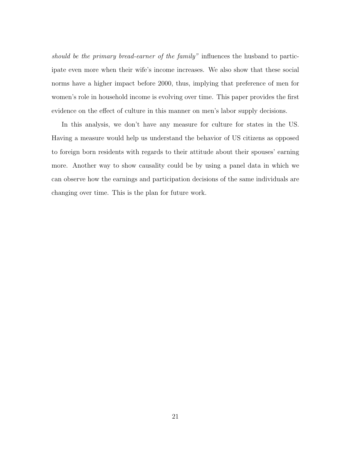should be the primary bread-earner of the family" influences the husband to participate even more when their wife's income increases. We also show that these social norms have a higher impact before 2000, thus, implying that preference of men for women's role in household income is evolving over time. This paper provides the first evidence on the effect of culture in this manner on men's labor supply decisions.

In this analysis, we don't have any measure for culture for states in the US. Having a measure would help us understand the behavior of US citizens as opposed to foreign born residents with regards to their attitude about their spouses' earning more. Another way to show causality could be by using a panel data in which we can observe how the earnings and participation decisions of the same individuals are changing over time. This is the plan for future work.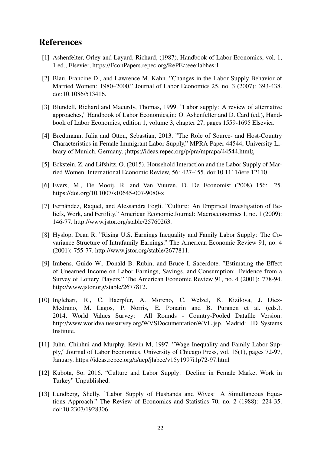# References

- [1] Ashenfelter, Orley and Layard, Richard, (1987), Handbook of Labor Economics, vol. 1, 1 ed., Elsevier, https://EconPapers.repec.org/RePEc:eee:labhes:1.
- [2] Blau, Francine D., and Lawrence M. Kahn. "Changes in the Labor Supply Behavior of Married Women: 1980–2000." Journal of Labor Economics 25, no. 3 (2007): 393-438. doi:10.1086/513416.
- [3] Blundell, Richard and Macurdy, Thomas, 1999. "Labor supply: A review of alternative approaches," Handbook of Labor Economics,in: O. Ashenfelter and D. Card (ed.), Handbook of Labor Economics, edition 1, volume 3, chapter 27, pages 1559-1695 Elsevier.
- [4] Bredtmann, Julia and Otten, Sebastian, 2013. "The Role of Source- and Host-Country Characteristics in Female Immigrant Labor Supply," MPRA Paper 44544, University Library of Munich, Germany. ¡https://ideas.repec.org/p/pra/mprapa/44544.html¿
- [5] Eckstein, Z. and Lifshitz, O. (2015), Household Interaction and the Labor Supply of Married Women. International Economic Review, 56: 427-455. doi:10.1111/iere.12110
- [6] Evers, M., De Mooij, R. and Van Vuuren, D. De Economist (2008) 156: 25. https://doi.org/10.1007/s10645-007-9080-z
- [7] Fernández, Raquel, and Alessandra Fogli. "Culture: An Empirical Investigation of Beliefs, Work, and Fertility." American Economic Journal: Macroeconomics 1, no. 1 (2009): 146-77. http://www.jstor.org/stable/25760263.
- [8] Hyslop, Dean R. "Rising U.S. Earnings Inequality and Family Labor Supply: The Covariance Structure of Intrafamily Earnings." The American Economic Review 91, no. 4 (2001): 755-77. http://www.jstor.org/stable/2677811.
- [9] Imbens, Guido W., Donald B. Rubin, and Bruce I. Sacerdote. "Estimating the Effect of Unearned Income on Labor Earnings, Savings, and Consumption: Evidence from a Survey of Lottery Players." The American Economic Review 91, no. 4 (2001): 778-94. http://www.jstor.org/stable/2677812.
- [10] Inglehart, R., C. Haerpfer, A. Moreno, C. Welzel, K. Kizilova, J. Diez-Medrano, M. Lagos, P. Norris, E. Ponarin and B. Puranen et al. (eds.). 2014. World Values Survey: All Rounds - Country-Pooled Datafile Version: http://www.worldvaluessurvey.org/WVSDocumentationWVL.jsp. Madrid: JD Systems Institute.
- [11] Juhn, Chinhui and Murphy, Kevin M, 1997. "Wage Inequality and Family Labor Supply," Journal of Labor Economics, University of Chicago Press, vol. 15(1), pages 72-97, January. https://ideas.repec.org/a/ucp/jlabec/v15y1997i1p72-97.html
- [12] Kubota, So. 2016. "Culture and Labor Supply: Decline in Female Market Work in Turkey" Unpublished.
- [13] Lundberg, Shelly. "Labor Supply of Husbands and Wives: A Simultaneous Equations Approach." The Review of Economics and Statistics 70, no. 2 (1988): 224-35. doi:10.2307/1928306.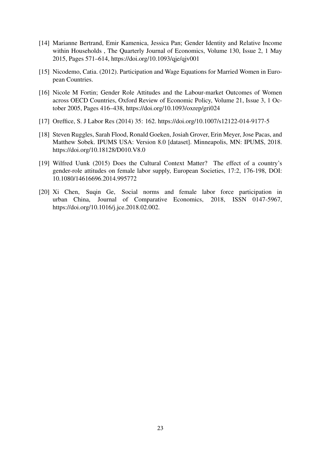- [14] Marianne Bertrand, Emir Kamenica, Jessica Pan; Gender Identity and Relative Income within Households , The Quarterly Journal of Economics, Volume 130, Issue 2, 1 May 2015, Pages 571–614, https://doi.org/10.1093/qje/qjv001
- [15] Nicodemo, Catia. (2012). Participation and Wage Equations for Married Women in European Countries.
- [16] Nicole M Fortin; Gender Role Attitudes and the Labour-market Outcomes of Women across OECD Countries, Oxford Review of Economic Policy, Volume 21, Issue 3, 1 October 2005, Pages 416–438, https://doi.org/10.1093/oxrep/gri024
- [17] Oreffice, S. J Labor Res (2014) 35: 162. https://doi.org/10.1007/s12122-014-9177-5
- [18] Steven Ruggles, Sarah Flood, Ronald Goeken, Josiah Grover, Erin Meyer, Jose Pacas, and Matthew Sobek. IPUMS USA: Version 8.0 [dataset]. Minneapolis, MN: IPUMS, 2018. https://doi.org/10.18128/D010.V8.0
- [19] Wilfred Uunk (2015) Does the Cultural Context Matter? The effect of a country's gender-role attitudes on female labor supply, European Societies, 17:2, 176-198, DOI: 10.1080/14616696.2014.995772
- [20] Xi Chen, Suqin Ge, Social norms and female labor force participation in urban China, Journal of Comparative Economics, 2018, ISSN 0147-5967, https://doi.org/10.1016/j.jce.2018.02.002.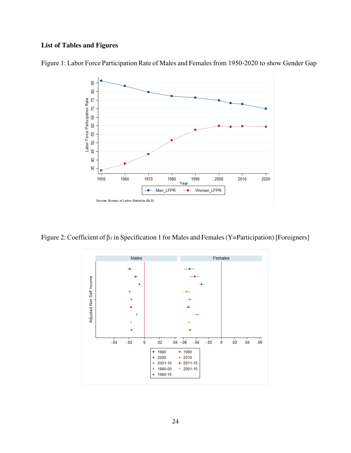### **List of Tables and Figures**



Figure 1: Labor Force Participation Rate of Males and Females from 1950-2020 to show Gender Gap

Figure 2: Coefficient of β<sup>1</sup> in Specification 1 for Males and Females (Y=Participation) [Foreigners]

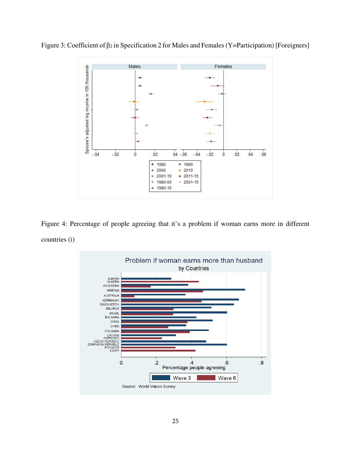



Figure 4: Percentage of people agreeing that it's a problem if woman earns more in different countries (i)

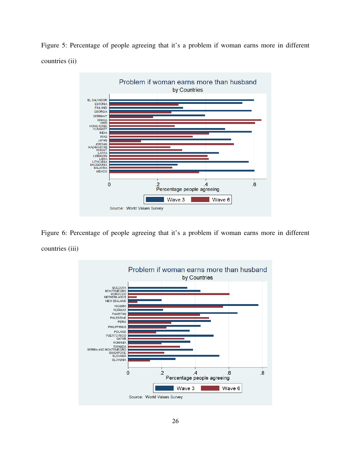Figure 5: Percentage of people agreeing that it's a problem if woman earns more in different countries (ii)



Figure 6: Percentage of people agreeing that it's a problem if woman earns more in different countries (iii)

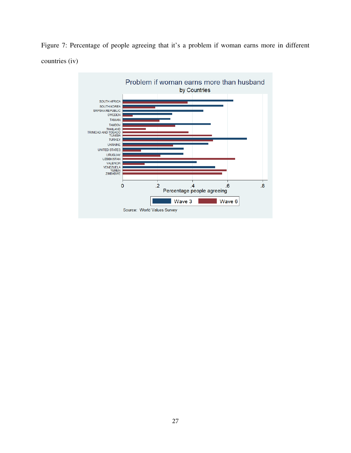Figure 7: Percentage of people agreeing that it's a problem if woman earns more in different countries (iv)

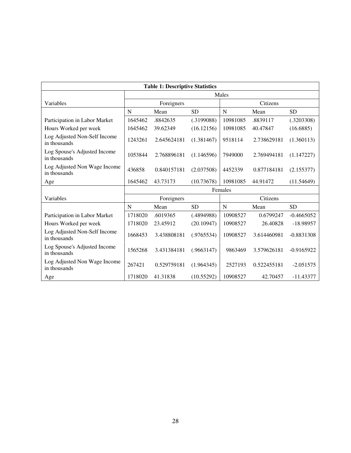| <b>Table 1: Descriptive Statistics</b>       |         |             |            |          |             |              |  |  |  |  |
|----------------------------------------------|---------|-------------|------------|----------|-------------|--------------|--|--|--|--|
|                                              |         | Males       |            |          |             |              |  |  |  |  |
| Variables                                    |         | Foreigners  |            |          | Citizens    |              |  |  |  |  |
|                                              | N       | Mean        | <b>SD</b>  | N        | Mean        | <b>SD</b>    |  |  |  |  |
| Participation in Labor Market                | 1645462 | .8842635    | (.3199088) | 10981085 | .8839117    | (.3203308)   |  |  |  |  |
| Hours Worked per week                        | 1645462 | 39.62349    | (16.12156) | 10981085 | 40.47847    | (16.6885)    |  |  |  |  |
| Log Adjusted Non-Self Income<br>in thousands | 1243261 | 2.645624181 | (1.381467) | 9518114  | 2.738629181 | (1.360113)   |  |  |  |  |
| Log Spouse's Adjusted Income<br>in thousands | 1053844 | 2.768896181 | (1.146596) | 7949000  | 2.769494181 | (1.147227)   |  |  |  |  |
| Log Adjusted Non Wage Income<br>in thousands | 436858  | 0.840157181 | (2.037508) | 4452339  | 0.877184181 | (2.155377)   |  |  |  |  |
| Age                                          | 1645462 | 43.73173    | (10.73678) | 10981085 | 44.91472    | (11.54649)   |  |  |  |  |
|                                              |         |             |            | Females  |             |              |  |  |  |  |
| Variables                                    |         | Foreigners  |            |          | Citizens    |              |  |  |  |  |
|                                              | N       | Mean        | <b>SD</b>  | N        | Mean        | <b>SD</b>    |  |  |  |  |
| Participation in Labor Market                | 1718020 | .6019365    | (.4894988) | 10908527 | 0.6799247   | $-0.4665052$ |  |  |  |  |
| Hours Worked per week                        | 1718020 | 23.45912    | (20.10947) | 10908527 | 26.40828    | $-18.98957$  |  |  |  |  |
| Log Adjusted Non-Self Income<br>in thousands | 1668453 | 3.438808181 | (.9765534) | 10908527 | 3.614460981 | $-0.8831308$ |  |  |  |  |
| Log Spouse's Adjusted Income<br>in thousands | 1565268 | 3.431384181 | (.9663147) | 9863469  | 3.579626181 | $-0.9165922$ |  |  |  |  |
| Log Adjusted Non Wage Income<br>in thousands | 267421  | 0.529759181 | (1.964345) | 2527193  | 0.522455181 | $-2.051575$  |  |  |  |  |
| Age                                          | 1718020 | 41.31838    | (10.55292) | 10908527 | 42.70457    | $-11.43377$  |  |  |  |  |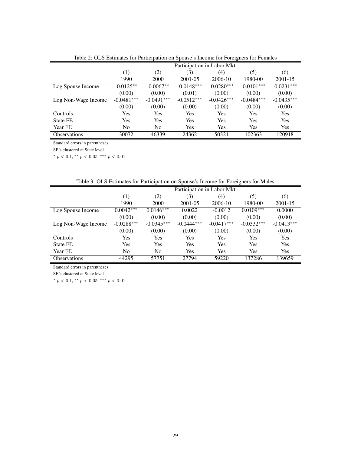|                     | Participation in Labor Mkt. |              |              |              |              |              |  |  |
|---------------------|-----------------------------|--------------|--------------|--------------|--------------|--------------|--|--|
|                     | $\left(1\right)$            | (2)          | (3)          | (4)          | (5)          | (6)          |  |  |
|                     | 1990                        | 2000         | 2001-05      | 2006-10      | 1980-00      | 2001-15      |  |  |
| Log Spouse Income   | $-0.0125**$                 | $-0.0067**$  | $-0.0148***$ | $-0.0280***$ | $-0.0101***$ | $-0.0231***$ |  |  |
|                     | (0.00)                      | (0.00)       | (0.01)       | (0.00)       | (0.00)       | (0.00)       |  |  |
| Log Non-Wage Income | $-0.0481***$                | $-0.0491***$ | $-0.0512***$ | $-0.0426***$ | $-0.0484***$ | $-0.0435***$ |  |  |
|                     | (0.00)                      | (0.00)       | (0.00)       | (0.00)       | (0.00)       | (0.00)       |  |  |
| <b>Controls</b>     | Yes                         | Yes          | Yes          | <b>Yes</b>   | Yes          | Yes          |  |  |
| <b>State FE</b>     | Yes                         | Yes          | Yes          | Yes          | Yes          | Yes          |  |  |
| Year FE             | No                          | No           | Yes          | Yes          | Yes          | Yes          |  |  |
| <b>Observations</b> | 30072                       | 46339        | 24362        | 50321        | 102363       | 120918       |  |  |

Table 2: OLS Estimates for Participation on Spouse's Income for Foreigners for Females

SE's clustered at State level

\*  $p < 0.1$ , \*\*  $p < 0.05$ , \*\*\*  $p < 0.01$ 

| Table 3: OLS Estimates for Participation on Spouse's Income for Foreigners for Males |  |  |
|--------------------------------------------------------------------------------------|--|--|
|                                                                                      |  |  |

|                     | Participation in Labor Mkt.            |                |              |              |              |              |  |  |
|---------------------|----------------------------------------|----------------|--------------|--------------|--------------|--------------|--|--|
|                     | (1)<br>(2)<br>(3)<br>(4)<br>(6)<br>(5) |                |              |              |              |              |  |  |
|                     | 1990                                   | 2000           | $2001 - 05$  | 2006-10      | 1980-00      | 2001-15      |  |  |
| Log Spouse Income   | $0.0042***$                            | $0.0146***$    | 0.0022       | $-0.0012$    | $0.0109***$  | 0.0000       |  |  |
|                     | (0.00)                                 | (0.00)         | (0.00)       | (0.00)       | (0.00)       | (0.00)       |  |  |
| Log Non-Wage Income | $-0.0288***$                           | $-0.0345***$   | $-0.0444***$ | $-0.0417***$ | $-0.0332***$ | $-0.0413***$ |  |  |
|                     | (0.00)                                 | (0.00)         | (0.00)       | (0.00)       | (0.00)       | (0.00)       |  |  |
| Controls            | Yes                                    | Yes            | Yes          | Yes          | Yes          | Yes          |  |  |
| State FE            | Yes                                    | Yes            | <b>Yes</b>   | Yes          | Yes          | <b>Yes</b>   |  |  |
| Year FE             | No                                     | N <sub>0</sub> | <b>Yes</b>   | Yes          | Yes          | <b>Yes</b>   |  |  |
| <b>Observations</b> | 44295                                  | 57751          | 27794        | 59220        | 137286       | 139659       |  |  |

Standard errors in parentheses

SE's clustered at State level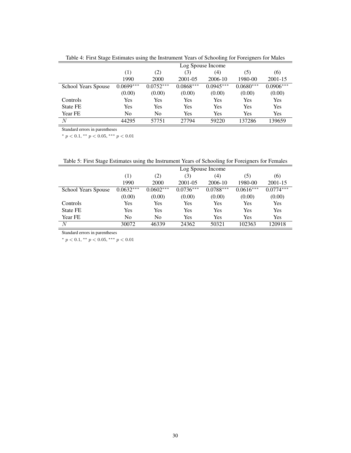|                     | Log Spouse Income                      |             |             |             |             |             |  |  |  |
|---------------------|----------------------------------------|-------------|-------------|-------------|-------------|-------------|--|--|--|
|                     | (1)<br>(3)<br>(6)<br>(2)<br>(4)<br>(5) |             |             |             |             |             |  |  |  |
|                     | 1990                                   | 2000        | 2001-05     | 2006-10     | 1980-00     | 2001-15     |  |  |  |
| School Years Spouse | $0.0699***$                            | $0.0752***$ | $0.0868***$ | $0.0945***$ | $0.0680***$ | $0.0906***$ |  |  |  |
|                     | (0.00)                                 | (0.00)      | (0.00)      | (0.00)      | (0.00)      | (0.00)      |  |  |  |
| Controls            | Yes                                    | Yes         | Yes         | Yes         | Yes         | Yes         |  |  |  |
| <b>State FE</b>     | Yes                                    | Yes         | Yes         | Yes         | Yes         | Yes         |  |  |  |
| Year FE             | No                                     | No          | Yes         | Yes         | Yes         | Yes         |  |  |  |
| N                   | 44295                                  | 57751       | 27794       | 59220       | 137286      | 139659      |  |  |  |

Table 4: First Stage Estimates using the Instrument Years of Schooling for Foreigners for Males

\*  $p < 0.1$ , \*\*  $p < 0.05$ , \*\*\*  $p < 0.01$ 

| Table 5: First Stage Estimates using the Instrument Years of Schooling for Foreigners for Females |                                                                                  |
|---------------------------------------------------------------------------------------------------|----------------------------------------------------------------------------------|
|                                                                                                   | $\mathbf{r}$ and $\mathbf{r}$ and $\mathbf{r}$ and $\mathbf{r}$ and $\mathbf{r}$ |

|                     | Log Spouse Income |                          |             |             |             |             |  |  |  |
|---------------------|-------------------|--------------------------|-------------|-------------|-------------|-------------|--|--|--|
|                     | (1)               | (3)<br>(2)<br>(5)<br>(4) |             |             |             |             |  |  |  |
|                     | 1990              | 2000                     | 2001-05     | 2006-10     | 1980-00     | 2001-15     |  |  |  |
| School Years Spouse | $0.0632***$       | $0.0602***$              | $0.0736***$ | $0.0788***$ | $0.0616***$ | $0.0774***$ |  |  |  |
|                     | (0.00)            | (0.00)                   | (0.00)      | (0.00)      | (0.00)      | (0.00)      |  |  |  |
| Controls            | Yes               | Yes                      | Yes         | Yes         | Yes         | Yes         |  |  |  |
| <b>State FE</b>     | Yes               | Yes                      | Yes         | Yes         | Yes         | Yes         |  |  |  |
| Year FE             | No                | No                       | Yes         | Yes         | Yes         | Yes         |  |  |  |
| N                   | 30072             | 46339                    | 24362       | 50321       | 102363      | 120918      |  |  |  |

Standard errors in parentheses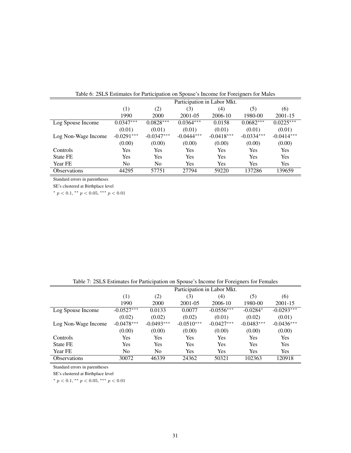|                     | Participation in Labor Mkt. |                |              |              |              |              |  |  |  |
|---------------------|-----------------------------|----------------|--------------|--------------|--------------|--------------|--|--|--|
|                     | $\left(1\right)$            | (6)            |              |              |              |              |  |  |  |
|                     | 1990                        | 2000           | 2001-05      | 2006-10      | 1980-00      | 2001-15      |  |  |  |
| Log Spouse Income   | $0.0347***$                 | $0.0828***$    | $0.0364***$  | 0.0158       | $0.0682***$  | $0.0225***$  |  |  |  |
|                     | (0.01)                      | (0.01)         | (0.01)       | (0.01)       | (0.01)       | (0.01)       |  |  |  |
| Log Non-Wage Income | $-0.0291***$                | $-0.0347***$   | $-0.0444***$ | $-0.0418***$ | $-0.0334***$ | $-0.0414***$ |  |  |  |
|                     | (0.00)                      | (0.00)         | (0.00)       | (0.00)       | (0.00)       | (0.00)       |  |  |  |
| Controls            | Yes                         | Yes            | <b>Yes</b>   | Yes          | Yes          | Yes          |  |  |  |
| <b>State FE</b>     | Yes                         | Yes            | Yes          | Yes          | Yes          | Yes          |  |  |  |
| Year FE             | No                          | N <sub>0</sub> | Yes          | Yes          | Yes          | Yes          |  |  |  |
| <b>Observations</b> | 44295                       | 57751          | 27794        | 59220        | 137286       | 139659       |  |  |  |

Table 6: 2SLS Estimates for Participation on Spouse's Income for Foreigners for Males

SE's clustered at Birthplace level

\*  $p < 0.1$ , \*\*  $p < 0.05$ , \*\*\*  $p < 0.01$ 

|                     | Participation in Labor Mkt.                         |              |              |              |              |              |  |  |  |
|---------------------|-----------------------------------------------------|--------------|--------------|--------------|--------------|--------------|--|--|--|
|                     | $\left(1\right)$<br>(2)<br>(3)<br>(6)<br>(5)<br>(4) |              |              |              |              |              |  |  |  |
|                     | 1990                                                | 2000         | 2001-05      | 2006-10      | 1980-00      | 2001-15      |  |  |  |
| Log Spouse Income   | $-0.0527***$                                        | 0.0133       | 0.0077       | $-0.0556***$ | $-0.0284*$   | $-0.0293***$ |  |  |  |
|                     | (0.02)                                              | (0.02)       | (0.02)       | (0.01)       | (0.02)       | (0.01)       |  |  |  |
| Log Non-Wage Income | $-0.0478***$                                        | $-0.0493***$ | $-0.0510***$ | $-0.0427***$ | $-0.0483***$ | $-0.0436***$ |  |  |  |
|                     | (0.00)                                              | (0.00)       | (0.00)       | (0.00)       | (0.00)       | (0.00)       |  |  |  |
| Controls            | Yes                                                 | Yes          | Yes          | Yes          | Yes          | Yes          |  |  |  |
| State FE            | Yes                                                 | Yes          | Yes          | Yes          | Yes          | Yes          |  |  |  |
| Year FE             | No                                                  | No           | Yes          | Yes          | Yes          | Yes          |  |  |  |
| <b>Observations</b> | 30072                                               | 46339        | 24362        | 50321        | 102363       | 120918       |  |  |  |

Table 7: 2SLS Estimates for Participation on Spouse's Income for Foreigners for Females

Standard errors in parentheses

SE's clustered at Birthplace level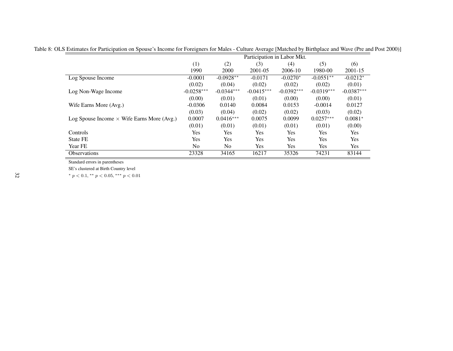|                                                   | Participation in Labor Mkt. |                |              |              |              |              |  |  |
|---------------------------------------------------|-----------------------------|----------------|--------------|--------------|--------------|--------------|--|--|
|                                                   | (1)                         | (2)            | (3)          | (4)          | (5)          | (6)          |  |  |
|                                                   | 1990                        | <b>2000</b>    | 2001-05      | 2006-10      | 1980-00      | $2001 - 15$  |  |  |
| Log Spouse Income                                 | $-0.0001$                   | $-0.0928**$    | $-0.0171$    | $-0.0270*$   | $-0.0551**$  | $-0.0212*$   |  |  |
|                                                   | (0.02)                      | (0.04)         | (0.02)       | (0.02)       | (0.02)       | (0.01)       |  |  |
| Log Non-Wage Income                               | $-0.0258***$                | $-0.0344***$   | $-0.0415***$ | $-0.0392***$ | $-0.0319***$ | $-0.0387***$ |  |  |
|                                                   | (0.00)                      | (0.01)         | (0.01)       | (0.00)       | (0.00)       | (0.01)       |  |  |
| Wife Earns More (Avg.)                            | $-0.0306$                   | 0.0140         | 0.0084       | 0.0153       | $-0.0014$    | 0.0127       |  |  |
|                                                   | (0.03)                      | (0.04)         | (0.02)       | (0.02)       | (0.03)       | (0.02)       |  |  |
| Log Spouse Income $\times$ Wife Earns More (Avg.) | 0.0007                      | $0.0416***$    | 0.0075       | 0.0099       | $0.0257***$  | $0.0081*$    |  |  |
|                                                   | (0.01)                      | (0.01)         | (0.01)       | (0.01)       | (0.01)       | (0.00)       |  |  |
| <b>Controls</b>                                   | Yes                         | Yes            | Yes          | Yes          | Yes          | <b>Yes</b>   |  |  |
| <b>State FE</b>                                   | Yes                         | <b>Yes</b>     | Yes          | Yes          | Yes          | Yes          |  |  |
| Year FE                                           | No.                         | N <sub>0</sub> | <b>Yes</b>   | <b>Yes</b>   | <b>Yes</b>   | Yes          |  |  |
| <b>Observations</b>                               | 23328                       | 34165          | 16217        | 35326        | 74231        | 83144        |  |  |

Table 8: OLS Estimates for Participation on Spouse's Income for Foreigners for Males - Culture Average [Matched by Birthplace and Wave (Pre and Post 2000)]

SE's clustered at Birth Country level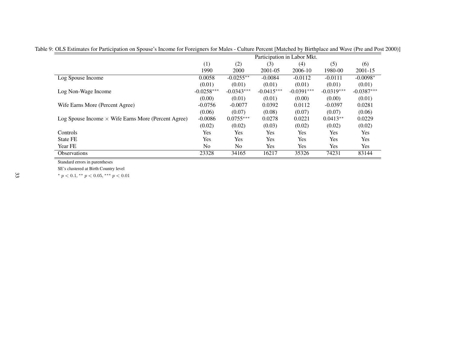|                                                            | Participation in Labor Mkt. |                |              |              |              |              |  |
|------------------------------------------------------------|-----------------------------|----------------|--------------|--------------|--------------|--------------|--|
|                                                            | (1)                         | (2)            | (3)          | (4)          | (5)          | (6)          |  |
|                                                            | 1990                        | 2000           | 2001-05      | 2006-10      | 1980-00      | $2001 - 15$  |  |
| Log Spouse Income                                          | 0.0058                      | $-0.0255**$    | $-0.0084$    | $-0.0112$    | $-0.0111$    | $-0.0098*$   |  |
|                                                            | (0.01)                      | (0.01)         | (0.01)       | (0.01)       | (0.01)       | (0.01)       |  |
| Log Non-Wage Income                                        | $-0.0258***$                | $-0.0343***$   | $-0.0415***$ | $-0.0391***$ | $-0.0319***$ | $-0.0387***$ |  |
|                                                            | (0.00)                      | (0.01)         | (0.01)       | (0.00)       | (0.00)       | (0.01)       |  |
| Wife Earns More (Percent Agree)                            | $-0.0756$                   | $-0.0077$      | 0.0392       | 0.0112       | $-0.0397$    | 0.0281       |  |
|                                                            | (0.06)                      | (0.07)         | (0.08)       | (0.07)       | (0.07)       | (0.06)       |  |
| Log Spouse Income $\times$ Wife Earns More (Percent Agree) | $-0.0086$                   | $0.0755***$    | 0.0278       | 0.0221       | $0.0413**$   | 0.0229       |  |
|                                                            | (0.02)                      | (0.02)         | (0.03)       | (0.02)       | (0.02)       | (0.02)       |  |
| Controls                                                   | Yes                         | <b>Yes</b>     | Yes          | Yes          | Yes          | Yes          |  |
| State FE                                                   | Yes                         | <b>Yes</b>     | Yes          | Yes          | Yes          | Yes          |  |
| Year FE                                                    | N <sub>0</sub>              | N <sub>o</sub> | <b>Yes</b>   | Yes          | Yes          | Yes          |  |
| <b>Observations</b>                                        | 23328                       | 34165          | 16217        | 35326        | 74231        | 83144        |  |

Table 9: OLS Estimates for Participation on Spouse's Income for Foreigners for Males - Culture Percent [Matched by Birthplace and Wave (Pre and Post 2000)]

SE's clustered at Birth Country level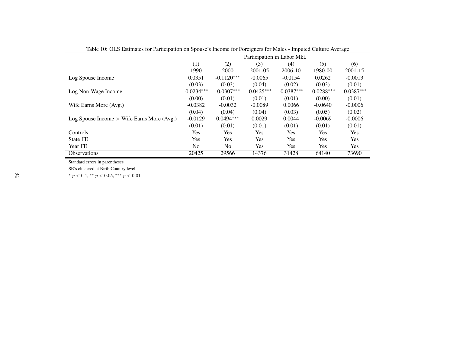|                                                   | Participation in Labor Mkt. |                |              |              |              |              |  |
|---------------------------------------------------|-----------------------------|----------------|--------------|--------------|--------------|--------------|--|
|                                                   | (1)                         | (2)            | (3)          | (4)          | (5)          | (6)          |  |
|                                                   | 1990                        | 2000           | 2001-05      | 2006-10      | 1980-00      | 2001-15      |  |
| Log Spouse Income                                 | 0.0351                      | $-0.1120***$   | $-0.0065$    | $-0.0154$    | 0.0262       | $-0.0013$    |  |
|                                                   | (0.03)                      | (0.03)         | (0.04)       | (0.02)       | (0.03)       | (0.01)       |  |
| Log Non-Wage Income                               | $-0.0234***$                | $-0.0307***$   | $-0.0425***$ | $-0.0387***$ | $-0.0288***$ | $-0.0387***$ |  |
|                                                   | (0.00)                      | (0.01)         | (0.01)       | (0.01)       | (0.00)       | (0.01)       |  |
| Wife Earns More (Avg.)                            | $-0.0382$                   | $-0.0032$      | $-0.0089$    | 0.0066       | $-0.0640$    | $-0.0006$    |  |
|                                                   | (0.04)                      | (0.04)         | (0.04)       | (0.03)       | (0.05)       | (0.02)       |  |
| Log Spouse Income $\times$ Wife Earns More (Avg.) | $-0.0129$                   | $0.0494***$    | 0.0029       | 0.0044       | $-0.0069$    | $-0.0006$    |  |
|                                                   | (0.01)                      | (0.01)         | (0.01)       | (0.01)       | (0.01)       | (0.01)       |  |
| Controls                                          | <b>Yes</b>                  | Yes            | <b>Yes</b>   | Yes.         | Yes.         | <b>Yes</b>   |  |
| State FE                                          | <b>Yes</b>                  | Yes            | <b>Yes</b>   | <b>Yes</b>   | Yes          | <b>Yes</b>   |  |
| Year FE                                           | No.                         | N <sub>0</sub> | Yes          | Yes.         | Yes          | Yes          |  |
| <b>Observations</b>                               | 20425                       | 29566          | 14376        | 31428        | 64140        | 73690        |  |

Table 10: OLS Estimates for Participation on Spouse's Income for Foreigners for Males - Imputed Culture Average

SE's clustered at Birth Country level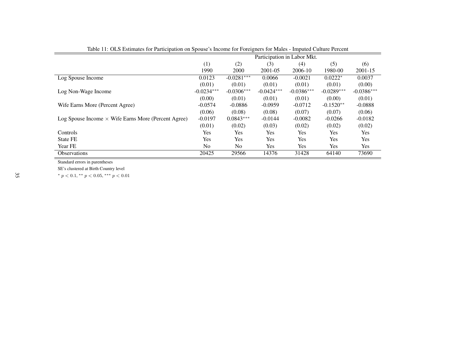|                                                            | Participation in Labor Mkt. |                |              |              |              |              |
|------------------------------------------------------------|-----------------------------|----------------|--------------|--------------|--------------|--------------|
|                                                            | (1)                         | (2)            | (3)          | (4)          | (5)          | (6)          |
|                                                            | 1990                        | 2000           | 2001-05      | 2006-10      | 1980-00      | 2001-15      |
| Log Spouse Income                                          | 0.0123                      | $-0.0281***$   | 0.0066       | $-0.0021$    | $0.0222*$    | 0.0037       |
|                                                            | (0.01)                      | (0.01)         | (0.01)       | (0.01)       | (0.01)       | (0.00)       |
| Log Non-Wage Income                                        | $-0.0234***$                | $-0.0306***$   | $-0.0424***$ | $-0.0386***$ | $-0.0289***$ | $-0.0386***$ |
|                                                            | (0.00)                      | (0.01)         | (0.01)       | (0.01)       | (0.00)       | (0.01)       |
| Wife Earns More (Percent Agree)                            | $-0.0574$                   | $-0.0886$      | $-0.0959$    | $-0.0712$    | $-0.1520**$  | $-0.0888$    |
|                                                            | (0.06)                      | (0.08)         | (0.08)       | (0.07)       | (0.07)       | (0.06)       |
| Log Spouse Income $\times$ Wife Earns More (Percent Agree) | $-0.0197$                   | $0.0843***$    | $-0.0144$    | $-0.0082$    | $-0.0266$    | $-0.0182$    |
|                                                            | (0.01)                      | (0.02)         | (0.03)       | (0.02)       | (0.02)       | (0.02)       |
| Controls                                                   | <b>Yes</b>                  | <b>Yes</b>     | <b>Yes</b>   | Yes          | Yes          | <b>Yes</b>   |
| <b>State FE</b>                                            | <b>Yes</b>                  | Yes            | Yes          | <b>Yes</b>   | Yes          | <b>Yes</b>   |
| Year FE                                                    | No.                         | N <sub>0</sub> | <b>Yes</b>   | Yes          | Yes          | Yes          |
| <i><b>Observations</b></i>                                 | 20425                       | 29566          | 14376        | 31428        | 64140        | 73690        |

Table 11: OLS Estimates for Participation on Spouse's Income for Foreigners for Males - Imputed Culture Percent

SE's clustered at Birth Country level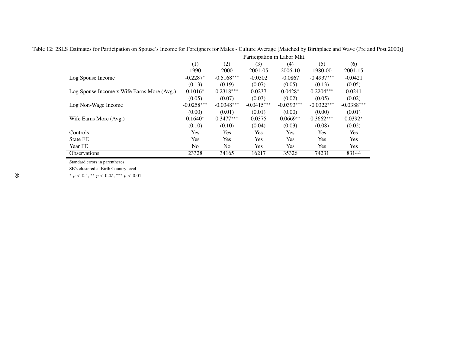|                                            | Participation in Labor Mkt. |              |              |              |              |              |  |  |
|--------------------------------------------|-----------------------------|--------------|--------------|--------------|--------------|--------------|--|--|
|                                            | (1)                         | (2)          | (3)          | (4)          | (5)          | (6)          |  |  |
|                                            | 1990                        | 2000         | 2001-05      | 2006-10      | 1980-00      | 2001-15      |  |  |
| Log Spouse Income                          | $-0.2287*$                  | $-0.5168***$ | $-0.0302$    | $-0.0867$    | $-0.4937***$ | $-0.0421$    |  |  |
|                                            | (0.13)                      | (0.19)       | (0.07)       | (0.05)       | (0.13)       | (0.05)       |  |  |
| Log Spouse Income x Wife Earns More (Avg.) | $0.1016*$                   | $0.2318***$  | 0.0237       | $0.0428*$    | $0.2204***$  | 0.0241       |  |  |
|                                            | (0.05)                      | (0.07)       | (0.03)       | (0.02)       | (0.05)       | (0.02)       |  |  |
| Log Non-Wage Income                        | $-0.0258***$                | $-0.0348***$ | $-0.0415***$ | $-0.0393***$ | $-0.0322***$ | $-0.0388***$ |  |  |
|                                            | (0.00)                      | (0.01)       | (0.01)       | (0.00)       | (0.00)       | (0.01)       |  |  |
| Wife Earns More (Avg.)                     | $0.1640*$                   | $0.3477***$  | 0.0375       | $0.0669**$   | $0.3662***$  | $0.0392*$    |  |  |
|                                            | (0.10)                      | (0.10)       | (0.04)       | (0.03)       | (0.08)       | (0.02)       |  |  |
| Controls                                   | Yes                         | Yes          | <b>Yes</b>   | Yes          | Yes          | Yes          |  |  |
| <b>State FE</b>                            | <b>Yes</b>                  | Yes          | <b>Yes</b>   | <b>Yes</b>   | Yes          | Yes          |  |  |
| Year FE                                    | N <sub>0</sub>              | No.          | <b>Yes</b>   | <b>Yes</b>   | Yes          | Yes          |  |  |
| <b>Observations</b>                        | 23328                       | 34165        | 16217        | 35326        | 74231        | 83144        |  |  |

Table 12: 2SLS Estimates for Participation on Spouse's Income for Foreigners for Males - Culture Average [Matched by Birthplace and Wave (Pre and Post 2000)]

SE's clustered at Birth Country level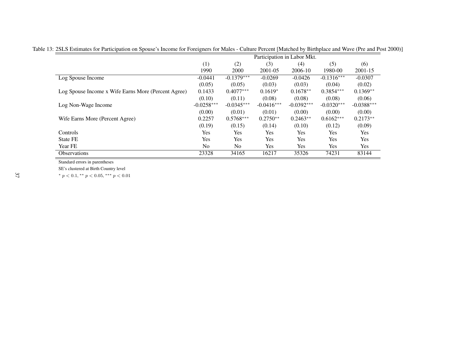|                                                     | Participation in Labor Mkt. |              |              |              |              |              |
|-----------------------------------------------------|-----------------------------|--------------|--------------|--------------|--------------|--------------|
|                                                     | (1)                         | (2)          | (3)          | (4)          | (5)          | (6)          |
|                                                     | 1990                        | 2000         | 2001-05      | 2006-10      | 1980-00      | 2001-15      |
| Log Spouse Income                                   | $-0.0441$                   | $-0.1379***$ | $-0.0269$    | $-0.0426$    | $-0.1316***$ | $-0.0307$    |
|                                                     | (0.05)                      | (0.05)       | (0.03)       | (0.03)       | (0.04)       | (0.02)       |
| Log Spouse Income x Wife Earns More (Percent Agree) | 0.1433                      | $0.4077***$  | $0.1619*$    | $0.1678**$   | $0.3854***$  | $0.1369**$   |
|                                                     | (0.10)                      | (0.11)       | (0.08)       | (0.08)       | (0.08)       | (0.06)       |
| Log Non-Wage Income                                 | $-0.0258***$                | $-0.0345***$ | $-0.0416***$ | $-0.0392***$ | $-0.0320***$ | $-0.0388***$ |
|                                                     | (0.00)                      | (0.01)       | (0.01)       | (0.00)       | (0.00)       | (0.00)       |
| Wife Earns More (Percent Agree)                     | 0.2257                      | $0.5768***$  | $0.2750**$   | $0.2463**$   | $0.6162***$  | $0.2173**$   |
|                                                     | (0.19)                      | (0.15)       | (0.14)       | (0.10)       | (0.12)       | (0.09)       |
| Controls                                            | Yes                         | Yes          | Yes          | Yes          | Yes          | <b>Yes</b>   |
| <b>State FE</b>                                     | Yes                         | Yes          | Yes          | Yes          | Yes          | Yes          |
| Year FE                                             | No.                         | No.          | Yes          | Yes          | Yes          | Yes          |
| <b>Observations</b>                                 | 23328                       | 34165        | 16217        | 35326        | 74231        | 83144        |

Table 13: 2SLS Estimates for Participation on Spouse's Income for Foreigners for Males - Culture Percent [Matched by Birthplace and Wave (Pre and Post 2000)]

SE's clustered at Birth Country level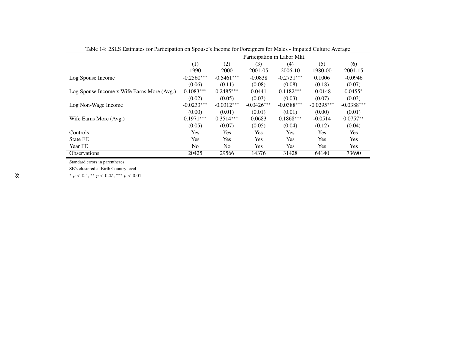|                                            | Participation in Labor Mkt. |              |              |              |              |              |  |
|--------------------------------------------|-----------------------------|--------------|--------------|--------------|--------------|--------------|--|
|                                            | (1)                         | (2)          | (3)          | (4)          | (5)          | (6)          |  |
|                                            | 1990                        | 2000         | 2001-05      | 2006-10      | 1980-00      | 2001-15      |  |
| Log Spouse Income                          | $-0.2560***$                | $-0.5461***$ | $-0.0838$    | $-0.2731***$ | 0.1006       | $-0.0946$    |  |
|                                            | (0.06)                      | (0.11)       | (0.08)       | (0.08)       | (0.18)       | (0.07)       |  |
| Log Spouse Income x Wife Earns More (Avg.) | $0.1083***$                 | $0.2485***$  | 0.0441       | $0.1182***$  | $-0.0148$    | $0.0455*$    |  |
|                                            | (0.02)                      | (0.05)       | (0.03)       | (0.03)       | (0.07)       | (0.03)       |  |
| Log Non-Wage Income                        | $-0.0233***$                | $-0.0312***$ | $-0.0426***$ | $-0.0388***$ | $-0.0295***$ | $-0.0388***$ |  |
|                                            | (0.00)                      | (0.01)       | (0.01)       | (0.01)       | (0.00)       | (0.01)       |  |
| Wife Earns More (Avg.)                     | $0.1971***$                 | $0.3514***$  | 0.0683       | $0.1868***$  | $-0.0514$    | $0.0757**$   |  |
|                                            | (0.05)                      | (0.07)       | (0.05)       | (0.04)       | (0.12)       | (0.04)       |  |
| Controls                                   | Yes                         | <b>Yes</b>   | Yes          | Yes          | <b>Yes</b>   | Yes          |  |
| State FE                                   | Yes                         | <b>Yes</b>   | Yes          | <b>Yes</b>   | <b>Yes</b>   | Yes          |  |
| Year FE                                    | N <sub>0</sub>              | No.          | Yes          | Yes          | <b>Yes</b>   | Yes          |  |
| <b>Observations</b>                        | 20425                       | 29566        | 14376        | 31428        | 64140        | 73690        |  |

Table 14: 2SLS Estimates for Participation on Spouse's Income for Foreigners for Males - Imputed Culture Average

SE's clustered at Birth Country level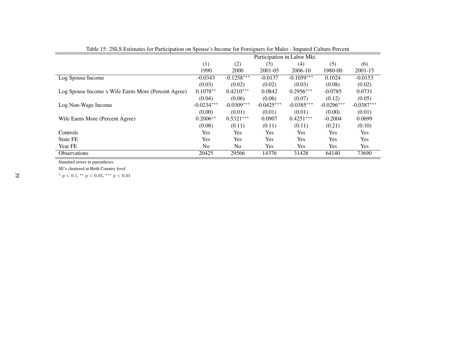|                                                     | Participation in Labor Mkt. |              |              |              |              |              |
|-----------------------------------------------------|-----------------------------|--------------|--------------|--------------|--------------|--------------|
|                                                     | (1)                         | (2)          | (3)          | (4)          | (5)          | (6)          |
|                                                     | 1990                        | 2000         | 2001-05      | 2006-10      | 1980-00      | $2001 - 15$  |
| Log Spouse Income                                   | $-0.0343$                   | $-0.1258***$ | $-0.0137$    | $-0.1059***$ | 0.1024       | $-0.0153$    |
|                                                     | (0.03)                      | (0.02)       | (0.02)       | (0.03)       | (0.08)       | (0.02)       |
| Log Spouse Income x Wife Earns More (Percent Agree) | $0.1078**$                  | $0.4210***$  | 0.0842       | $0.2956***$  | $-0.0785$    | 0.0731       |
|                                                     | (0.04)                      | (0.06)       | (0.06)       | (0.07)       | (0.12)       | (0.05)       |
| Log Non-Wage Income                                 | $-0.0234***$                | $-0.0309***$ | $-0.0425***$ | $-0.0385***$ | $-0.0296***$ | $-0.0387***$ |
|                                                     | (0.00)                      | (0.01)       | (0.01)       | (0.01)       | (0.00)       | (0.01)       |
| Wife Earns More (Percent Agree)                     | $0.2006**$                  | $0.5321***$  | 0.0907       | $0.4251***$  | $-0.2004$    | 0.0699       |
|                                                     | (0.08)                      | (0.11)       | (0.11)       | (0.11)       | (0.21)       | (0.10)       |
| Controls                                            | <b>Yes</b>                  | Yes          | <b>Yes</b>   | <b>Yes</b>   | <b>Yes</b>   | Yes.         |
| State FE                                            | <b>Yes</b>                  | Yes          | <b>Yes</b>   | <b>Yes</b>   | <b>Yes</b>   | Yes.         |
| Year FE                                             | N <sub>0</sub>              | No.          | <b>Yes</b>   | <b>Yes</b>   | <b>Yes</b>   | Yes          |
| <b>Observations</b>                                 | 20425                       | 29566        | 14376        | 31428        | 64140        | 73690        |

Table 15: 2SLS Estimates for Participation on Spouse's Income for Foreigners for Males - Imputed Culture Percent

SE's clustered at Birth Country level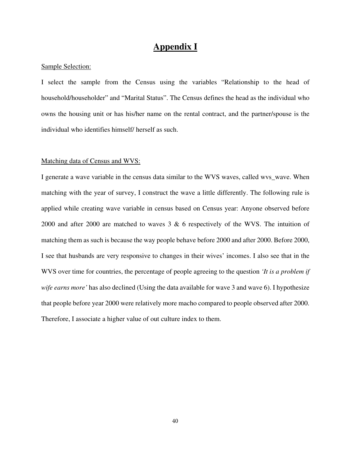### **Appendix I**

#### Sample Selection:

I select the sample from the Census using the variables "Relationship to the head of household/householder" and "Marital Status". The Census defines the head as the individual who owns the housing unit or has his/her name on the rental contract, and the partner/spouse is the individual who identifies himself/ herself as such.

#### Matching data of Census and WVS:

I generate a wave variable in the census data similar to the WVS waves, called wvs\_wave. When matching with the year of survey, I construct the wave a little differently. The following rule is applied while creating wave variable in census based on Census year: Anyone observed before 2000 and after 2000 are matched to waves 3 & 6 respectively of the WVS. The intuition of matching them as such is because the way people behave before 2000 and after 2000. Before 2000, I see that husbands are very responsive to changes in their wives' incomes. I also see that in the WVS over time for countries, the percentage of people agreeing to the question *'It is a problem if wife earns more'* has also declined (Using the data available for wave 3 and wave 6). I hypothesize that people before year 2000 were relatively more macho compared to people observed after 2000. Therefore, I associate a higher value of out culture index to them.